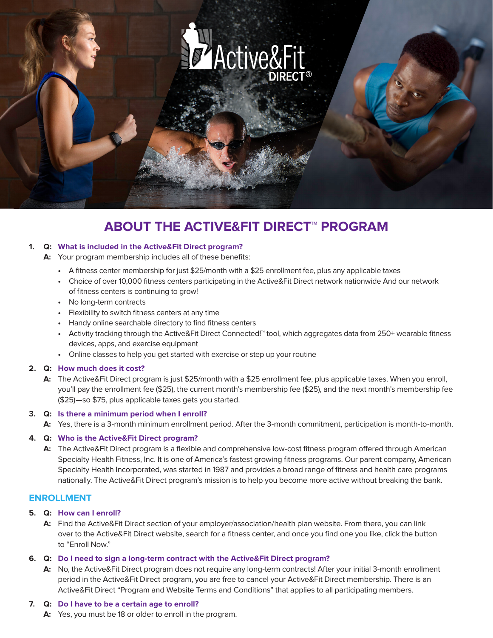

# **ABOUT THE ACTIVE&FIT DIRECT™ PROGRAM**

#### **1. Q: What is included in the Active&Fit Direct program?**

- **A:** Your program membership includes all of these benefits:
	- **•** A fitness center membership for just \$25/month with a \$25 enrollment fee, plus any applicable taxes
	- **•** Choice of over 10,000 fitness centers participating in the Active&Fit Direct network nationwide And our network of fitness centers is continuing to grow!
	- **•** No long-term contracts
	- **•** Flexibility to switch fitness centers at any time
	- **•** Handy online searchable directory to find fitness centers
	- **•** Activity tracking through the Active&Fit Direct Connected!™ tool, which aggregates data from 250+ wearable fitness devices, apps, and exercise equipment
	- **•** Online classes to help you get started with exercise or step up your routine

# **2. Q: How much does it cost?**

**A:** The Active&Fit Direct program is just \$25/month with a \$25 enrollment fee, plus applicable taxes. When you enroll, you'll pay the enrollment fee (\$25), the current month's membership fee (\$25), and the next month's membership fee (\$25)—so \$75, plus applicable taxes gets you started.

# **3. Q: Is there a minimum period when I enroll?**

**A:** Yes, there is a 3-month minimum enrollment period. After the 3-month commitment, participation is month-to-month.

# **4. Q: Who is the Active&Fit Direct program?**

**A:** The Active&Fit Direct program is a flexible and comprehensive low-cost fitness program offered through American Specialty Health Fitness, Inc. It is one of America's fastest growing fitness programs. Our parent company, American Specialty Health Incorporated, was started in 1987 and provides a broad range of fitness and health care programs nationally. The Active&Fit Direct program's mission is to help you become more active without breaking the bank.

# **ENROLLMENT**

# **5. Q: How can I enroll?**

**A:** Find the Active&Fit Direct section of your employer/association/health plan website. From there, you can link over to the Active&Fit Direct website, search for a fitness center, and once you find one you like, click the button to "Enroll Now."

# **6. Q: Do I need to sign a long-term contract with the Active&Fit Direct program?**

**A:** No, the Active&Fit Direct program does not require any long-term contracts! After your initial 3-month enrollment period in the Active&Fit Direct program, you are free to cancel your Active&Fit Direct membership. There is an Active&Fit Direct "Program and Website Terms and Conditions" that applies to all participating members.

#### **7. Q: Do I have to be a certain age to enroll?**

**A:** Yes, you must be 18 or older to enroll in the program.